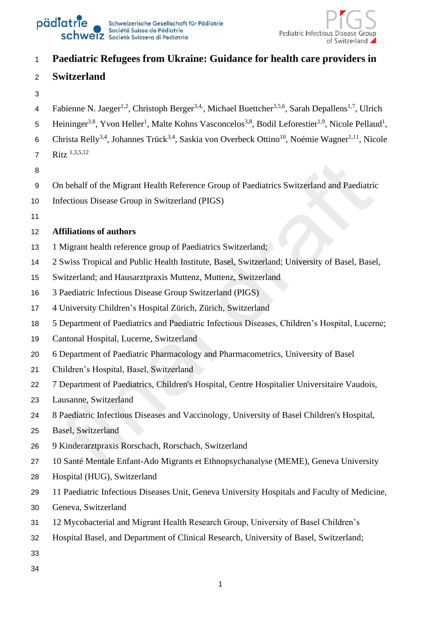



# **Paediatric Refugees from Ukraine: Guidance for health care providers in**

## **Switzerland**

- 
- 4 Fabienne N. Jaeger<sup>1,2</sup>, Christoph Berger<sup>3,4,</sup>, Michael Buettcher<sup>3,5,6</sup>, Sarah Depallens<sup>1,7</sup>, Ulrich
- 5 Heininger<sup>3,8</sup>, Yvon Heller<sup>1</sup>, Malte Kohns Vasconcelos<sup>3,8</sup>, Bodil Leforestier<sup>1,9</sup>, Nicole Pellaud<sup>1</sup>,
- 6 Christa Relly<sup>3,4</sup>, Johannes Trück<sup>3,4</sup>, Saskia von Overbeck Ottino<sup>10</sup>, Noémie Wagner<sup>1,11</sup>, Nicole
- Ritz 1,3,5,12
- 
- On behalf of the Migrant Health Reference Group of Paediatrics Switzerland and Paediatric
- Infectious Disease Group in Switzerland (PIGS)
- 

## **Affiliations of authors**

- 1 Migrant health reference group of Paediatrics Switzerland;
- 2 Swiss Tropical and Public Health Institute, Basel, Switzerland; University of Basel, Basel,
- Switzerland; and Hausarztpraxis Muttenz, Muttenz, Switzerland
- 3 Paediatric Infectious Disease Group Switzerland (PIGS)
- 4 University Children's Hospital Zürich, Zürich, Switzerland
- 5 Department of Paediatrics and Paediatric Infectious Diseases, Children's Hospital, Lucerne;
- Cantonal Hospital, Lucerne, Switzerland
- 6 Department of Paediatric Pharmacology and Pharmacometrics, University of Basel
- Children's Hospital, Basel, Switzerland
- 7 Department of Paediatrics, Children's Hospital, Centre Hospitalier Universitaire Vaudois,
- Lausanne, Switzerland
- 8 Paediatric Infectious Diseases and Vaccinology, University of Basel Children's Hospital,
- Basel, Switzerland
- 9 Kinderarztpraxis Rorschach, Rorschach, Switzerland
- 10 Santé Mentale Enfant-Ado Migrants et Ethnopsychanalyse (MEME), Geneva University
- Hospital (HUG), Switzerland
- 11 Paediatric Infectious Diseases Unit, Geneva University Hospitals and Faculty of Medicine,
- Geneva, Switzerland
- 12 Mycobacterial and Migrant Health Research Group, University of Basel Children's
- Hospital Basel, and Department of Clinical Research, University of Basel, Switzerland;
- 
-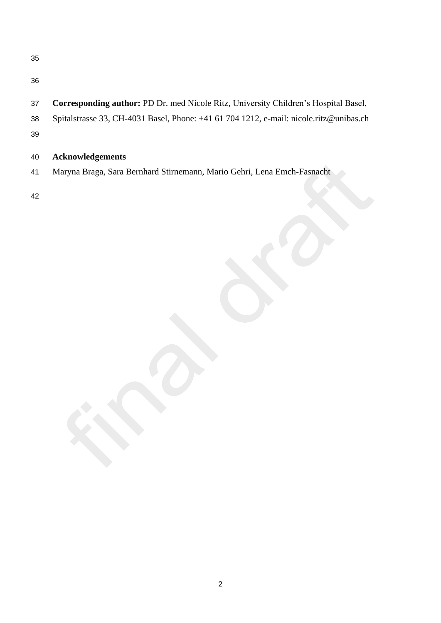| ٦                       | v<br>ł<br>r       |
|-------------------------|-------------------|
| I<br>×<br>۰.<br>۰.<br>w | I<br>I<br>×<br>۰, |

- 
- **Corresponding author:** PD Dr. med Nicole Ritz, University Children's Hospital Basel,
- Spitalstrasse 33, CH-4031 Basel, Phone: +41 61 704 1212, e-mail: nicole.ritz@unibas.ch
- 

## **Acknowledgements**

Maryna Braga, Sara Bernhard Stirnemann, Mario Gehri, Lena Emch-Fasnacht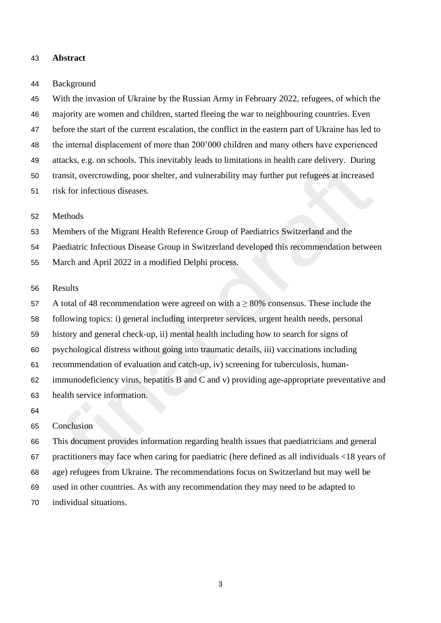#### **Abstract**

#### Background

 With the invasion of Ukraine by the Russian Army in February 2022, refugees, of which the majority are women and children, started fleeing the war to neighbouring countries. Even before the start of the current escalation, the conflict in the eastern part of Ukraine has led to the internal displacement of more than 200'000 children and many others have experienced attacks, e.g. on schools. This inevitably leads to limitations in health care delivery. During transit, overcrowding, poor shelter, and vulnerability may further put refugees at increased risk for infectious diseases.

#### Methods

Members of the Migrant Health Reference Group of Paediatrics Switzerland and the

Paediatric Infectious Disease Group in Switzerland developed this recommendation between

March and April 2022 in a modified Delphi process.

## Results

57 A total of 48 recommendation were agreed on with a  $\geq$  80% consensus. These include the

following topics: i) general including interpreter services, urgent health needs, personal

history and general check-up, ii) mental health including how to search for signs of

psychological distress without going into traumatic details, iii) vaccinations including

recommendation of evaluation and catch-up, iv) screening for tuberculosis, human-

 immunodeficiency virus, hepatitis B and C and v) providing age-appropriate preventative and health service information.

#### Conclusion

 This document provides information regarding health issues that paediatricians and general practitioners may face when caring for paediatric (here defined as all individuals <18 years of age) refugees from Ukraine. The recommendations focus on Switzerland but may well be used in other countries. As with any recommendation they may need to be adapted to

individual situations.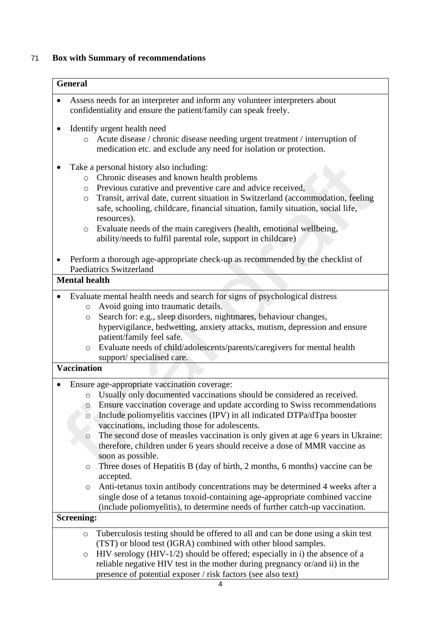# 71 **Box with Summary of recommendations**

|           | <b>General</b>                                                                                                                                                                                                                                                                                                                                                                                                                                                                                                                                     |
|-----------|----------------------------------------------------------------------------------------------------------------------------------------------------------------------------------------------------------------------------------------------------------------------------------------------------------------------------------------------------------------------------------------------------------------------------------------------------------------------------------------------------------------------------------------------------|
|           | Assess needs for an interpreter and inform any volunteer interpreters about<br>confidentiality and ensure the patient/family can speak freely.                                                                                                                                                                                                                                                                                                                                                                                                     |
| ٠         | Identify urgent health need<br>Acute disease / chronic disease needing urgent treatment / interruption of<br>medication etc. and exclude any need for isolation or protection.                                                                                                                                                                                                                                                                                                                                                                     |
|           | Take a personal history also including:<br>Chronic diseases and known health problems<br>$\circ$<br>Previous curative and preventive care and advice received,<br>$\circ$<br>Transit, arrival date, current situation in Switzerland (accommodation, feeling<br>O<br>safe, schooling, childcare, financial situation, family situation, social life,<br>resources).<br>Evaluate needs of the main caregivers (health, emotional wellbeing,<br>$\circ$                                                                                              |
|           | ability/needs to fulfil parental role, support in childcare)                                                                                                                                                                                                                                                                                                                                                                                                                                                                                       |
|           | Perform a thorough age-appropriate check-up as recommended by the checklist of<br><b>Paediatrics Switzerland</b>                                                                                                                                                                                                                                                                                                                                                                                                                                   |
|           | <b>Mental health</b>                                                                                                                                                                                                                                                                                                                                                                                                                                                                                                                               |
|           | Evaluate mental health needs and search for signs of psychological distress<br>Avoid going into traumatic details.<br>$\circ$<br>Search for: e.g., sleep disorders, nightmares, behaviour changes,<br>$\circlearrowright$<br>hypervigilance, bedwetting, anxiety attacks, mutism, depression and ensure<br>patient/family feel safe.<br>Evaluate needs of child/adolescents/parents/caregivers for mental health<br>$\circ$<br>support/ specialised care.                                                                                          |
|           | <b>Vaccination</b>                                                                                                                                                                                                                                                                                                                                                                                                                                                                                                                                 |
| $\bullet$ | Ensure age-appropriate vaccination coverage:<br>Usually only documented vaccinations should be considered as received.<br>$\circ$<br>• Ensure vaccination coverage and update according to Swiss recommendations<br>Include poliomyelitis vaccines (IPV) in all indicated DTPa/dTpa booster<br>O<br>vaccinations, including those for adolescents.<br>The second dose of measles vaccination is only given at age 6 years in Ukraine:<br>$\circ$<br>therefore, children under 6 years should receive a dose of MMR vaccine as<br>soon as possible. |
|           | Three doses of Hepatitis B (day of birth, 2 months, 6 months) vaccine can be<br>$\circ$<br>accepted.<br>Anti-tetanus toxin antibody concentrations may be determined 4 weeks after a<br>$\circ$<br>single dose of a tetanus toxoid-containing age-appropriate combined vaccine<br>(include poliomyelitis), to determine needs of further catch-up vaccination.                                                                                                                                                                                     |
|           | <b>Screening:</b>                                                                                                                                                                                                                                                                                                                                                                                                                                                                                                                                  |
|           | Tuberculosis testing should be offered to all and can be done using a skin test<br>$\circ$<br>(TST) or blood test (IGRA) combined with other blood samples.<br>HIV serology (HIV-1/2) should be offered; especially in i) the absence of a<br>O<br>reliable negative HIV test in the mother during pregnancy or/and ii) in the<br>presence of potential exposer / risk factors (see also text)                                                                                                                                                     |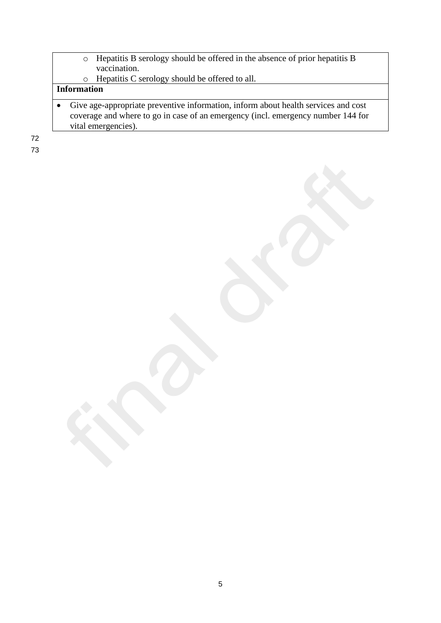- o Hepatitis B serology should be offered in the absence of prior hepatitis B vaccination.
- o Hepatitis C serology should be offered to all.

## **Information**

• Give age-appropriate preventive information, inform about health services and cost coverage and where to go in case of an emergency (incl. emergency number 144 for vital emergencies).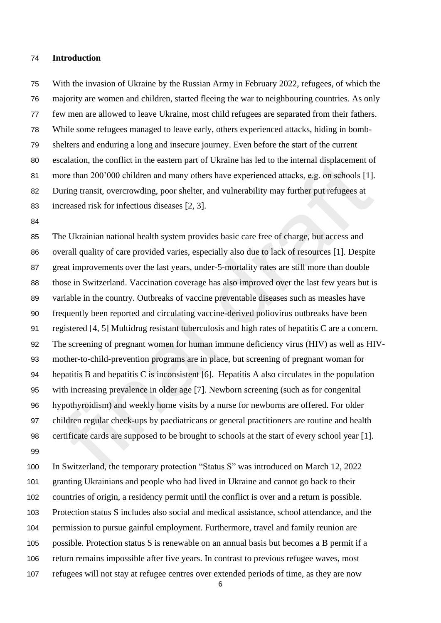#### **Introduction**

 With the invasion of Ukraine by the Russian Army in February 2022, refugees, of which the majority are women and children, started fleeing the war to neighbouring countries. As only few men are allowed to leave Ukraine, most child refugees are separated from their fathers. While some refugees managed to leave early, others experienced attacks, hiding in bomb- shelters and enduring a long and insecure journey. Even before the start of the current escalation, the conflict in the eastern part of Ukraine has led to the internal displacement of more than 200'000 children and many others have experienced attacks, e.g. on schools [1]. During transit, overcrowding, poor shelter, and vulnerability may further put refugees at increased risk for infectious diseases [2, 3].

 The Ukrainian national health system provides basic care free of charge, but access and overall quality of care provided varies, especially also due to lack of resources [1]. Despite great improvements over the last years, under-5-mortality rates are still more than double those in Switzerland. Vaccination coverage has also improved over the last few years but is variable in the country. Outbreaks of vaccine preventable diseases such as measles have frequently been reported and circulating vaccine-derived poliovirus outbreaks have been registered [4, 5] Multidrug resistant tuberculosis and high rates of hepatitis C are a concern. The screening of pregnant women for human immune deficiency virus (HIV) as well as HIV- mother-to-child-prevention programs are in place, but screening of pregnant woman for hepatitis B and hepatitis C is inconsistent [6]. Hepatitis A also circulates in the population with increasing prevalence in older age [7]. Newborn screening (such as for congenital hypothyroidism) and weekly home visits by a nurse for newborns are offered. For older children regular check-ups by paediatricans or general practitioners are routine and health certificate cards are supposed to be brought to schools at the start of every school year [1]. 

 In Switzerland, the temporary protection "Status S" was introduced on March 12, 2022 granting Ukrainians and people who had lived in Ukraine and cannot go back to their countries of origin, a residency permit until the conflict is over and a return is possible. Protection status S includes also social and medical assistance, school attendance, and the permission to pursue gainful employment. Furthermore, travel and family reunion are possible. Protection status S is renewable on an annual basis but becomes a B permit if a return remains impossible after five years. In contrast to previous refugee waves, most refugees will not stay at refugee centres over extended periods of time, as they are now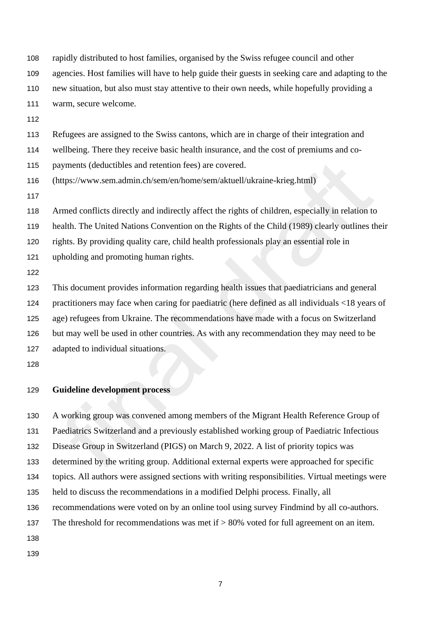rapidly distributed to host families, organised by the Swiss refugee council and other

agencies. Host families will have to help guide their guests in seeking care and adapting to the

new situation, but also must stay attentive to their own needs, while hopefully providing a

warm, secure welcome.

Refugees are assigned to the Swiss cantons, which are in charge of their integration and

wellbeing. There they receive basic health insurance, and the cost of premiums and co-

payments (deductibles and retention fees) are covered.

(https://www.sem.admin.ch/sem/en/home/sem/aktuell/ukraine-krieg.html)

Armed conflicts directly and indirectly affect the rights of children, especially in relation to

health. The United Nations Convention on the Rights of the Child (1989) clearly outlines their

rights. By providing quality care, child health professionals play an essential role in

upholding and promoting human rights.

 This document provides information regarding health issues that paediatricians and general practitioners may face when caring for paediatric (here defined as all individuals <18 years of age) refugees from Ukraine. The recommendations have made with a focus on Switzerland but may well be used in other countries. As with any recommendation they may need to be adapted to individual situations.

## **Guideline development process**

A working group was convened among members of the Migrant Health Reference Group of

Paediatrics Switzerland and a previously established working group of Paediatric Infectious

Disease Group in Switzerland (PIGS) on March 9, 2022. A list of priority topics was

determined by the writing group. Additional external experts were approached for specific

topics. All authors were assigned sections with writing responsibilities. Virtual meetings were

held to discuss the recommendations in a modified Delphi process. Finally, all

recommendations were voted on by an online tool using survey Findmind by all co-authors.

The threshold for recommendations was met if > 80% voted for full agreement on an item.

- 
-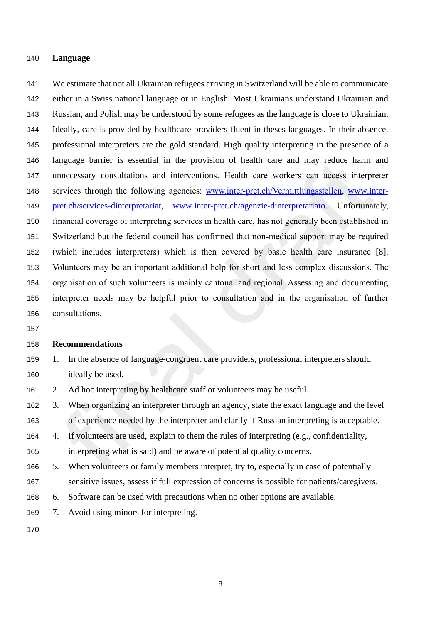### **Language**

 We estimate that not all Ukrainian refugees arriving in Switzerland will be able to communicate either in a Swiss national language or in English. Most Ukrainians understand Ukrainian and Russian, and Polish may be understood by some refugees as the language is close to Ukrainian. Ideally, care is provided by healthcare providers fluent in theses languages. In their absence, professional interpreters are the gold standard. High quality interpreting in the presence of a language barrier is essential in the provision of health care and may reduce harm and unnecessary consultations and interventions. Health care workers can access interpreter services through the following agencies: [www.inter-pret.ch/Vermittlungsstellen,](http://www.inter-pret.ch/Vermittlungsstellen) [www.inter-](http://www.inter-pret.ch/services-dinterpretariat) [pret.ch/services-dinterpretariat,](http://www.inter-pret.ch/services-dinterpretariat) [www.inter-pret.ch/agenzie-dinterpretariato.](http://www.inter-pret.ch/agenzie-dinterpretariato) Unfortunately, financial coverage of interpreting services in health care, has not generally been established in Switzerland but the federal council has confirmed that non-medical support may be required (which includes interpreters) which is then covered by basic health care insurance [8]. Volunteers may be an important additional help for short and less complex discussions. The organisation of such volunteers is mainly cantonal and regional. Assessing and documenting interpreter needs may be helpful prior to consultation and in the organisation of further consultations.

## **Recommendations**

- 1. In the absence of language-congruent care providers, professional interpreters should ideally be used.
- 2. Ad hoc interpreting by healthcare staff or volunteers may be useful.
- 3. When organizing an interpreter through an agency, state the exact language and the level of experience needed by the interpreter and clarify if Russian interpreting is acceptable.
- 4. If volunteers are used, explain to them the rules of interpreting (e.g., confidentiality,
- interpreting what is said) and be aware of potential quality concerns.
- 5. When volunteers or family members interpret, try to, especially in case of potentially sensitive issues, assess if full expression of concerns is possible for patients/caregivers.
- 6. Software can be used with precautions when no other options are available.
- 7. Avoid using minors for interpreting.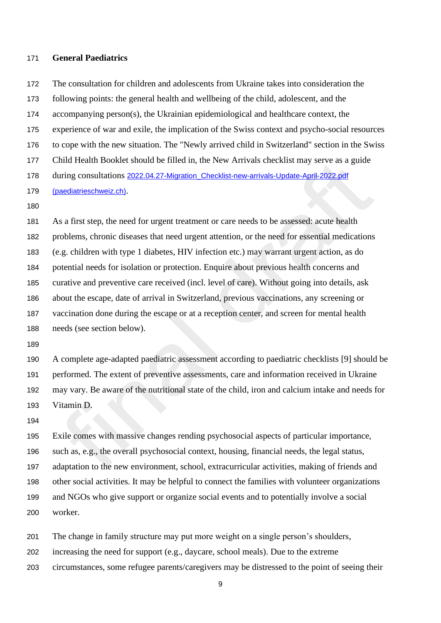### **General Paediatrics**

 The consultation for children and adolescents from Ukraine takes into consideration the following points: the general health and wellbeing of the child, adolescent, and the accompanying person(s), the Ukrainian epidemiological and healthcare context, the experience of war and exile, the implication of the Swiss context and psycho-social resources to cope with the new situation. The "Newly arrived child in Switzerland" section in the Swiss Child Health Booklet should be filled in, the New Arrivals checklist may serve as a guide 178 during consultations 2022.04.27-Migration Checklist-new-arrivals-Update-April-2022.pdf [\(paediatrieschweiz.ch\)](https://cdn.paediatrieschweiz.ch/production/uploads/2022/04/2022.04.27-Migration_Checklist-new-arrivals-Update-April-2022.pdf). 

 As a first step, the need for urgent treatment or care needs to be assessed: acute health problems, chronic diseases that need urgent attention, or the need for essential medications (e.g. children with type 1 diabetes, HIV infection etc.) may warrant urgent action, as do potential needs for isolation or protection. Enquire about previous health concerns and curative and preventive care received (incl. level of care). Without going into details, ask about the escape, date of arrival in Switzerland, previous vaccinations, any screening or vaccination done during the escape or at a reception center, and screen for mental health needs (see section below).

 A complete age-adapted paediatric assessment according to paediatric checklists [9] should be performed. The extent of preventive assessments, care and information received in Ukraine may vary. Be aware of the nutritional state of the child, iron and calcium intake and needs for Vitamin D.

 Exile comes with massive changes rending psychosocial aspects of particular importance, such as, e.g., the overall psychosocial context, housing, financial needs, the legal status, adaptation to the new environment, school, extracurricular activities, making of friends and other social activities. It may be helpful to connect the families with volunteer organizations and NGOs who give support or organize social events and to potentially involve a social worker.

The change in family structure may put more weight on a single person's shoulders,

increasing the need for support (e.g., daycare, school meals). Due to the extreme

circumstances, some refugee parents/caregivers may be distressed to the point of seeing their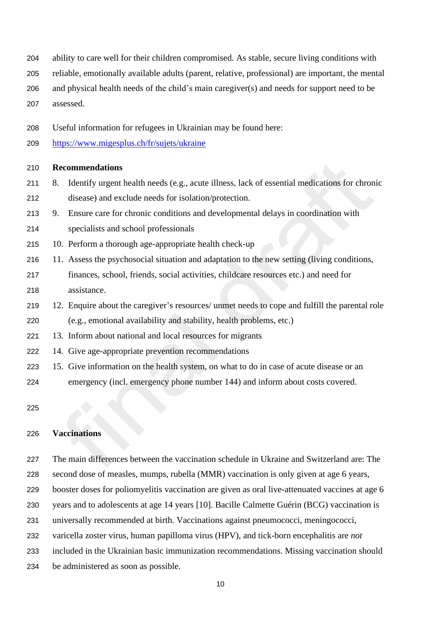- ability to care well for their children compromised. As stable, secure living conditions with
- reliable, emotionally available adults (parent, relative, professional) are important, the mental
- and physical health needs of the child's main caregiver(s) and needs for support need to be
- assessed.
- Useful information for refugees in Ukrainian may be found here:
- <https://www.migesplus.ch/fr/sujets/ukraine>

- 8. Identify urgent health needs (e.g., acute illness, lack of essential medications for chronic disease) and exclude needs for isolation/protection.
- 9. Ensure care for chronic conditions and developmental delays in coordination with
- specialists and school professionals
- 10. Perform a thorough age-appropriate health check-up
- 11. Assess the psychosocial situation and adaptation to the new setting (living conditions, finances, school, friends, social activities, childcare resources etc.) and need for assistance.
- 12. Enquire about the caregiver's resources/ unmet needs to cope and fulfill the parental role (e.g., emotional availability and stability, health problems, etc.)
- 13. Inform about national and local resources for migrants
- 14. Give age-appropriate prevention recommendations
- 15. Give information on the health system, on what to do in case of acute disease or an emergency (incl. emergency phone number 144) and inform about costs covered.

## **Vaccinations**

 The main differences between the vaccination schedule in Ukraine and Switzerland are: The second dose of measles, mumps, rubella (MMR) vaccination is only given at age 6 years, booster doses for poliomyelitis vaccination are given as oral live-attenuated vaccines at age 6 years and to adolescents at age 14 years [10]. Bacille Calmette Guérin (BCG) vaccination is universally recommended at birth. Vaccinations against pneumococci, meningococci,

- varicella zoster virus, human papilloma virus (HPV), and tick-born encephalitis are *not*
- included in the Ukrainian basic immunization recommendations. Missing vaccination should
- be administered as soon as possible.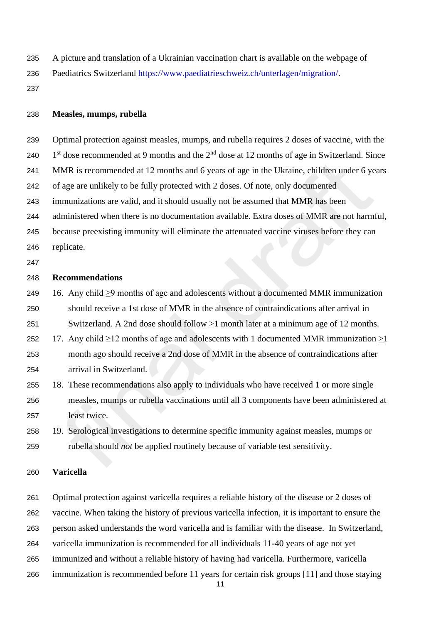- A picture and translation of a Ukrainian vaccination chart is available on the webpage of
- Paediatrics Switzerland [https://www.paediatrieschweiz.ch/unterlagen/migration/.](https://www.paediatrieschweiz.ch/unterlagen/migration/)
- 

#### **Measles, mumps, rubella**

- Optimal protection against measles, mumps, and rubella requires 2 doses of vaccine, with the
- 240  $1<sup>st</sup>$  dose recommended at 9 months and the  $2<sup>nd</sup>$  dose at 12 months of age in Switzerland. Since
- MMR is recommended at 12 months and 6 years of age in the Ukraine, children under 6 years
- of age are unlikely to be fully protected with 2 doses. Of note, only documented
- immunizations are valid, and it should usually not be assumed that MMR has been
- administered when there is no documentation available. Extra doses of MMR are not harmful,
- because preexisting immunity will eliminate the attenuated vaccine viruses before they can replicate.
- 

#### **Recommendations**

- 16. Any child ≥9 months of age and adolescents without a documented MMR immunization should receive a 1st dose of MMR in the absence of contraindications after arrival in
- Switzerland. A 2nd dose should follow >1 month later at a minimum age of 12 months.
- 252 17. Any child  $\geq$  12 months of age and adolescents with 1 documented MMR immunization  $>$  1 month ago should receive a 2nd dose of MMR in the absence of contraindications after arrival in Switzerland.
- 18. These recommendations also apply to individuals who have received 1 or more single measles, mumps or rubella vaccinations until all 3 components have been administered at least twice.
- 19. Serological investigations to determine specific immunity against measles, mumps or rubella should *not* be applied routinely because of variable test sensitivity.

## **Varicella**

Optimal protection against varicella requires a reliable history of the disease or 2 doses of

vaccine. When taking the history of previous varicella infection, it is important to ensure the

person asked understands the word varicella and is familiar with the disease. In Switzerland,

- varicella immunization is recommended for all individuals 11-40 years of age not yet
- immunized and without a reliable history of having had varicella. Furthermore, varicella
- immunization is recommended before 11 years for certain risk groups [11] and those staying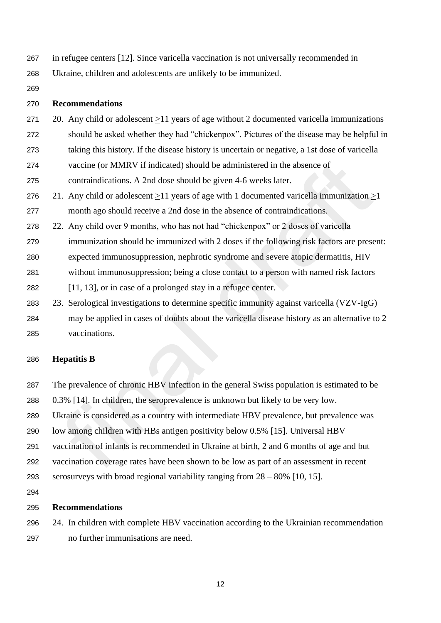- in refugee centers [12]. Since varicella vaccination is not universally recommended in
- Ukraine, children and adolescents are unlikely to be immunized.
- 

- 20. Any child or adolescent >11 years of age without 2 documented varicella immunizations should be asked whether they had "chickenpox". Pictures of the disease may be helpful in
- taking this history. If the disease history is uncertain or negative, a 1st dose of varicella
- vaccine (or MMRV if indicated) should be administered in the absence of
- contraindications. A 2nd dose should be given 4-6 weeks later.
- 21. Any child or adolescent >11 years of age with 1 documented varicella immunization >1 month ago should receive a 2nd dose in the absence of contraindications.
- 22. Any child over 9 months, who has not had "chickenpox" or 2 doses of varicella
- immunization should be immunized with 2 doses if the following risk factors are present:
- expected immunosuppression, nephrotic syndrome and severe atopic dermatitis, HIV
- without immunosuppression; being a close contact to a person with named risk factors
- [11, 13], or in case of a prolonged stay in a refugee center.
- 23. Serological investigations to determine specific immunity against varicella (VZV-IgG)
- may be applied in cases of doubts about the varicella disease history as an alternative to 2 vaccinations.

## **Hepatitis B**

- The prevalence of chronic HBV infection in the general Swiss population is estimated to be
- 0.3% [14]. In children, the seroprevalence is unknown but likely to be very low.
- Ukraine is considered as a country with intermediate HBV prevalence, but prevalence was
- low among children with HBs antigen positivity below 0.5% [15]. Universal HBV
- vaccination of infants is recommended in Ukraine at birth, 2 and 6 months of age and but
- vaccination coverage rates have been shown to be low as part of an assessment in recent
- serosurveys with broad regional variability ranging from 28 80% [10, 15].
- 

## **Recommendations**

 24. In children with complete HBV vaccination according to the Ukrainian recommendation no further immunisations are need.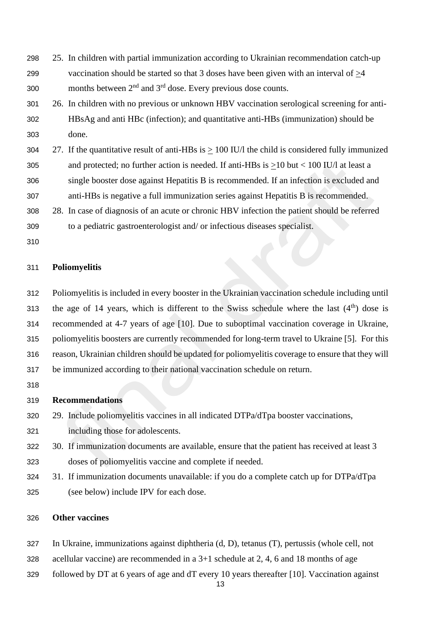- 25. In children with partial immunization according to Ukrainian recommendation catch-up vaccination should be started so that 3 doses have been given with an interval of >4 300 months between  $2<sup>nd</sup>$  and  $3<sup>rd</sup>$  dose. Every previous dose counts.
- 26. In children with no previous or unknown HBV vaccination serological screening for anti- HBsAg and anti HBc (infection); and quantitative anti-HBs (immunization) should be done.
- 27. If the quantitative result of anti-HBs is > 100 IU/l the child is considered fully immunized and protected; no further action is needed. If anti-HBs is >10 but < 100 IU/l at least a single booster dose against Hepatitis B is recommended. If an infection is excluded and
- anti-HBs is negative a full immunization series against Hepatitis B is recommended.
- 28. In case of diagnosis of an acute or chronic HBV infection the patient should be referred
- to a pediatric gastroenterologist and/ or infectious diseases specialist.
- 

### **Poliomyelitis**

 Poliomyelitis is included in every booster in the Ukrainian vaccination schedule including until 313 the age of 14 years, which is different to the Swiss schedule where the last  $(4<sup>th</sup>)$  dose is recommended at 4-7 years of age [10]. Due to suboptimal vaccination coverage in Ukraine, poliomyelitis boosters are currently recommended for long-term travel to Ukraine [5]. For this reason, Ukrainian children should be updated for poliomyelitis coverage to ensure that they will be immunized according to their national vaccination schedule on return.

## **Recommendations**

- 29. Include poliomyelitis vaccines in all indicated DTPa/dTpa booster vaccinations,
- including those for adolescents.
- 30. If immunization documents are available, ensure that the patient has received at least 3 doses of poliomyelitis vaccine and complete if needed.
- 31. If immunization documents unavailable: if you do a complete catch up for DTPa/dTpa (see below) include IPV for each dose.

## **Other vaccines**

- In Ukraine, immunizations against diphtheria (d, D), tetanus (T), pertussis (whole cell, not
- acellular vaccine) are recommended in a 3+1 schedule at 2, 4, 6 and 18 months of age
- followed by DT at 6 years of age and dT every 10 years thereafter [10]. Vaccination against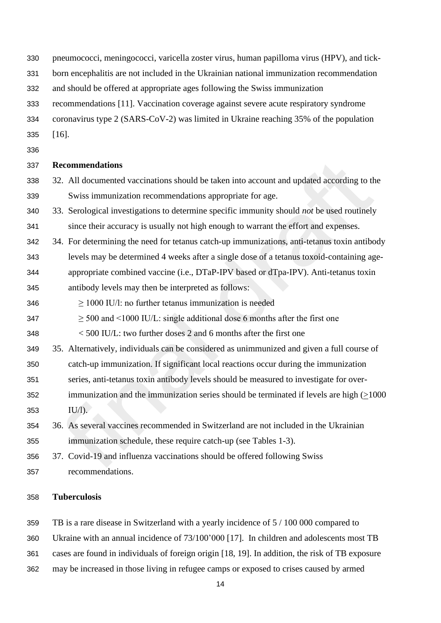- pneumococci, meningococci, varicella zoster virus, human papilloma virus (HPV), and tick-
- born encephalitis are not included in the Ukrainian national immunization recommendation
- and should be offered at appropriate ages following the Swiss immunization
- recommendations [11]. Vaccination coverage against severe acute respiratory syndrome
- coronavirus type 2 (SARS-CoV-2) was limited in Ukraine reaching 35% of the population
- [16].
- 

- 32. All documented vaccinations should be taken into account and updated according to the Swiss immunization recommendations appropriate for age.
- 33. Serological investigations to determine specific immunity should *not* be used routinely since their accuracy is usually not high enough to warrant the effort and expenses.
- 34. For determining the need for tetanus catch-up immunizations, anti-tetanus toxin antibody levels may be determined 4 weeks after a single dose of a tetanus toxoid-containing age-
- appropriate combined vaccine (i.e., DTaP-IPV based or dTpa-IPV). Anti-tetanus toxin
- antibody levels may then be interpreted as follows:
- $346 \geq 1000$  IU/l: no further tetanus immunization is needed
- $347 \geq 500$  and  $\leq 1000$  IU/L: single additional dose 6 months after the first one

< 500 IU/L: two further doses 2 and 6 months after the first one

- 35. Alternatively, individuals can be considered as unimmunized and given a full course of
- catch-up immunization. If significant local reactions occur during the immunization
- series, anti-tetanus toxin antibody levels should be measured to investigate for over-
- immunization and the immunization series should be terminated if levels are high (>1000 IU/l).
- 36. As several vaccines recommended in Switzerland are not included in the Ukrainian immunization schedule, these require catch-up (see Tables 1-3).
- 37. Covid-19 and influenza vaccinations should be offered following Swiss recommendations.

## **Tuberculosis**

TB is a rare disease in Switzerland with a yearly incidence of 5 / 100 000 compared to

- Ukraine with an annual incidence of 73/100'000 [17]. In children and adolescents most TB
- cases are found in individuals of foreign origin [18, 19]. In addition, the risk of TB exposure
- may be increased in those living in refugee camps or exposed to crises caused by armed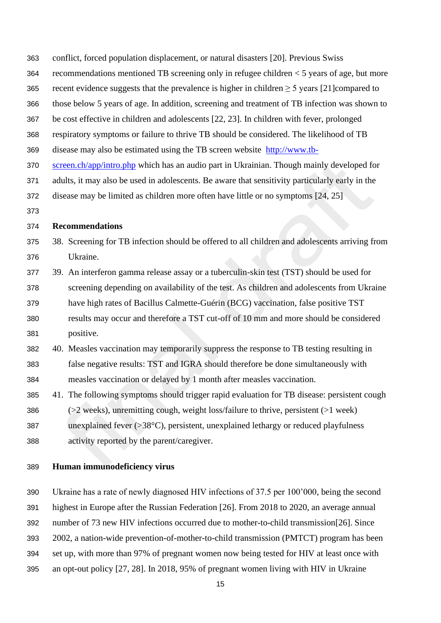- conflict, forced population displacement, or natural disasters [20]. Previous Swiss
- recommendations mentioned TB screening only in refugee children < 5 years of age, but more
- 365 recent evidence suggests that the prevalence is higher in children  $\geq$  5 years [21] compared to
- those below 5 years of age. In addition, screening and treatment of TB infection was shown to
- be cost effective in children and adolescents [22, 23]. In children with fever, prolonged
- respiratory symptoms or failure to thrive TB should be considered. The likelihood of TB
- disease may also be estimated using the TB screen website [http://www.tb-](http://www.tb-screen.ch/app/intro.php)
- [screen.ch/app/intro.php](http://www.tb-screen.ch/app/intro.php) which has an audio part in Ukrainian. Though mainly developed for
- adults, it may also be used in adolescents. Be aware that sensitivity particularly early in the
- disease may be limited as children more often have little or no symptoms [24, 25]
- 

- 38. Screening for TB infection should be offered to all children and adolescents arriving from Ukraine.
- 39. An interferon gamma release assay or a tuberculin-skin test (TST) should be used for screening depending on availability of the test. As children and adolescents from Ukraine have high rates of Bacillus Calmette-Guérin (BCG) vaccination, false positive TST results may occur and therefore a TST cut-off of 10 mm and more should be considered positive.
- 40. Measles vaccination may temporarily suppress the response to TB testing resulting in false negative results: TST and IGRA should therefore be done simultaneously with measles vaccination or delayed by 1 month after measles vaccination.
- 41. The following symptoms should trigger rapid evaluation for TB disease: persistent cough (>2 weeks), unremitting cough, weight loss/failure to thrive, persistent (>1 week) 387 unexplained fever  $(>=38^{\circ}C)$ , persistent, unexplained lethargy or reduced playfulness activity reported by the parent/caregiver.

### **Human immunodeficiency virus**

Ukraine has a rate of newly diagnosed HIV infections of 37.5 per 100'000, being the second

highest in Europe after the Russian Federation [26]. From 2018 to 2020, an average annual

- number of 73 new HIV infections occurred due to mother-to-child transmission[26]. Since
- 2002, a nation-wide prevention-of-mother-to-child transmission (PMTCT) program has been
- set up, with more than 97% of pregnant women now being tested for HIV at least once with
- an opt-out policy [27, 28]. In 2018, 95% of pregnant women living with HIV in Ukraine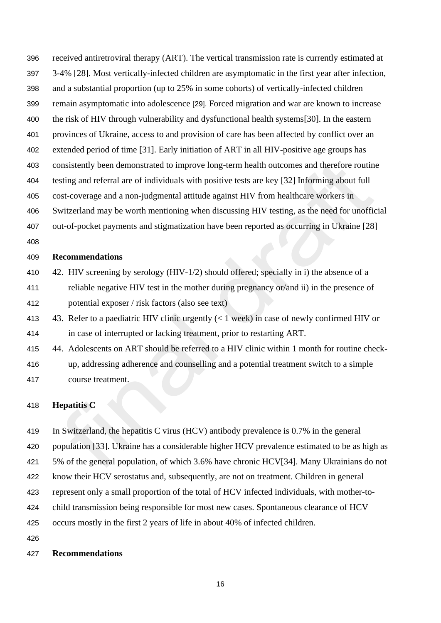- received antiretroviral therapy (ART). The vertical transmission rate is currently estimated at 3-4% [28]. Most vertically-infected children are asymptomatic in the first year after infection, and a substantial proportion (up to 25% in some cohorts) of vertically-infected children remain asymptomatic into adolescence [29]. Forced migration and war are known to increase the risk of HIV through vulnerability and dysfunctional health systems[30]. In the eastern provinces of Ukraine, access to and provision of care has been affected by conflict over an extended period of time [31]. Early initiation of ART in all HIV-positive age groups has consistently been demonstrated to improve long-term health outcomes and therefore routine testing and referral are of individuals with positive tests are key [32] Informing about full cost-coverage and a non-judgmental attitude against HIV from healthcare workers in Switzerland may be worth mentioning when discussing HIV testing, as the need for unofficial out-of-pocket payments and stigmatization have been reported as occurring in Ukraine [28]
- 

- 410 42. HIV screening by serology (HIV-1/2) should offered; specially in i) the absence of a reliable negative HIV test in the mother during pregnancy or/and ii) in the presence of potential exposer / risk factors (also see text)
- 43. Refer to a paediatric HIV clinic urgently (< 1 week) in case of newly confirmed HIV or in case of interrupted or lacking treatment, prior to restarting ART.
- 44. Adolescents on ART should be referred to a HIV clinic within 1 month for routine check- up, addressing adherence and counselling and a potential treatment switch to a simple course treatment.

### **Hepatitis C**

 In Switzerland, the hepatitis C virus (HCV) antibody prevalence is 0.7% in the general population [33]. Ukraine has a considerable higher HCV prevalence estimated to be as high as 5% of the general population, of which 3.6% have chronic HCV[34]. Many Ukrainians do not know their HCV serostatus and, subsequently, are not on treatment. Children in general represent only a small proportion of the total of HCV infected individuals, with mother-to- child transmission being responsible for most new cases. Spontaneous clearance of HCV occurs mostly in the first 2 years of life in about 40% of infected children. 

### **Recommendations**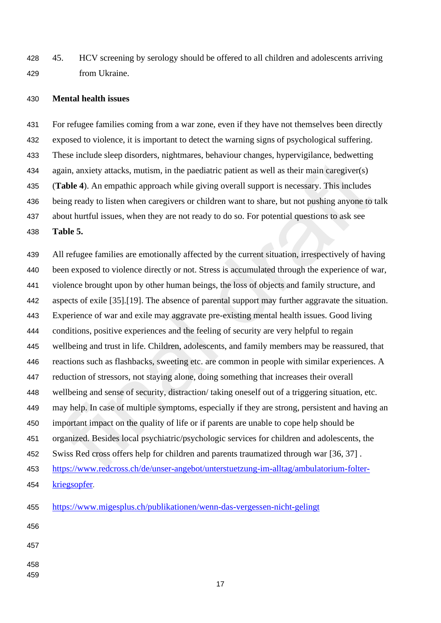45. HCV screening by serology should be offered to all children and adolescents arriving from Ukraine.

#### **Mental health issues**

 For refugee families coming from a war zone, even if they have not themselves been directly exposed to violence, it is important to detect the warning signs of psychological suffering. These include sleep disorders, nightmares, behaviour changes, hypervigilance, bedwetting again, anxiety attacks, mutism, in the paediatric patient as well as their main caregiver(s) (**Table 4**). An empathic approach while giving overall support is necessary. This includes being ready to listen when caregivers or children want to share, but not pushing anyone to talk about hurtful issues, when they are not ready to do so. For potential questions to ask see **Table 5.**

 All refugee families are emotionally affected by the current situation, irrespectively of having been exposed to violence directly or not. Stress is accumulated through the experience of war, violence brought upon by other human beings, the loss of objects and family structure, and aspects of exile [35].[19]. The absence of parental support may further aggravate the situation. Experience of war and exile may aggravate pre-existing mental health issues. Good living conditions, positive experiences and the feeling of security are very helpful to regain wellbeing and trust in life. Children, adolescents, and family members may be reassured, that reactions such as flashbacks, sweeting etc. are common in people with similar experiences. A reduction of stressors, not staying alone, doing something that increases their overall wellbeing and sense of security, distraction/ taking oneself out of a triggering situation, etc. may help. In case of multiple symptoms, especially if they are strong, persistent and having an important impact on the quality of life or if parents are unable to cope help should be organized. Besides local psychiatric/psychologic services for children and adolescents, the Swiss Red cross offers help for children and parents traumatized through war [36, 37] . [https://www.redcross.ch/de/unser-angebot/unterstuetzung-im-alltag/ambulatorium-folter-](https://www.redcross.ch/de/unser-angebot/unterstuetzung-im-alltag/ambulatorium-folter-kriegsopfer) [kriegsopfer](https://www.redcross.ch/de/unser-angebot/unterstuetzung-im-alltag/ambulatorium-folter-kriegsopfer). <https://www.migesplus.ch/publikationen/wenn-das-vergessen-nicht-gelingt> 

- 
-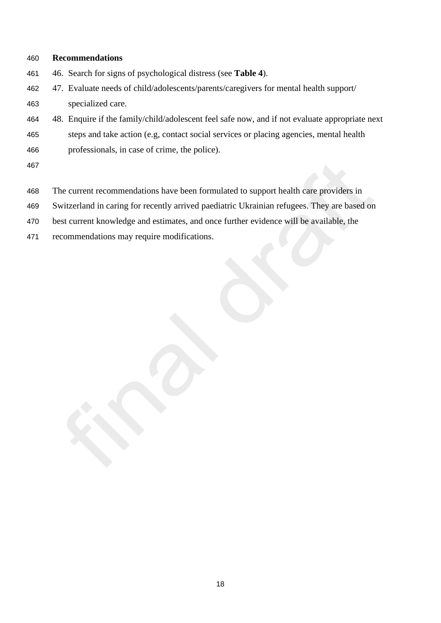- 46. Search for signs of psychological distress (see **Table 4**).
- 47. Evaluate needs of child/adolescents/parents/caregivers for mental health support/ specialized care.
- 48. Enquire if the family/child/adolescent feel safe now, and if not evaluate appropriate next
- steps and take action (e.g, contact social services or placing agencies, mental health professionals, in case of crime, the police).
- 
- The current recommendations have been formulated to support health care providers in
- Switzerland in caring for recently arrived paediatric Ukrainian refugees. They are based on
- best current knowledge and estimates, and once further evidence will be available, the
- recommendations may require modifications.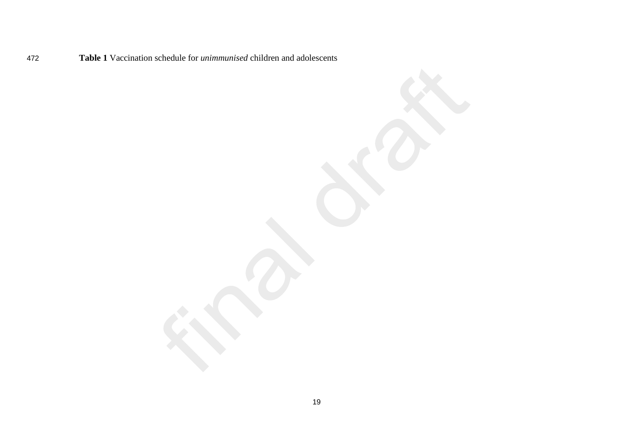**Table 1** Vaccination schedule for *unimmunised* children and adolescents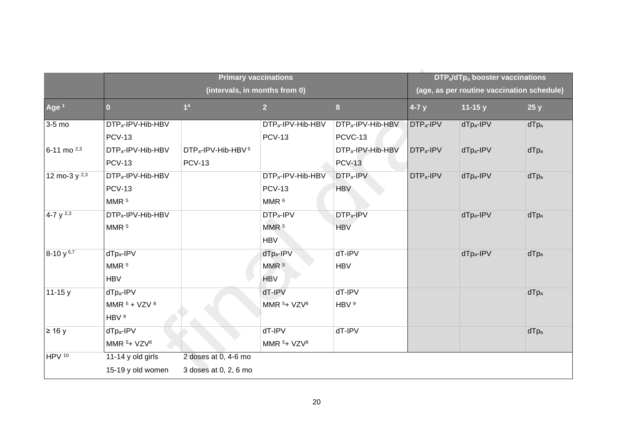|                   | <b>Primary vaccinations</b><br>(intervals, in months from 0) |                                            |                               |                               |                       | DTP <sub>a</sub> /dTp <sub>a</sub> booster vaccinations<br>(age, as per routine vaccination schedule) |             |  |
|-------------------|--------------------------------------------------------------|--------------------------------------------|-------------------------------|-------------------------------|-----------------------|-------------------------------------------------------------------------------------------------------|-------------|--|
|                   |                                                              |                                            |                               |                               |                       |                                                                                                       |             |  |
| Age <sup>1</sup>  | $\bf{0}$                                                     | 1 <sup>4</sup>                             | 2 <sup>2</sup>                | $\bf{8}$                      | $4-7y$                | 11-15 $y$                                                                                             | 25y         |  |
| 3-5 mo            | DTP <sub>a</sub> -IPV-Hib-HBV                                |                                            | DTP <sub>a</sub> -IPV-Hib-HBV | DTP <sub>a</sub> -IPV-Hib-HBV | DTP <sub>a</sub> -IPV | $dTp_a-IPV$                                                                                           | $d$ T $p_a$ |  |
|                   | <b>PCV-13</b>                                                |                                            | <b>PCV-13</b>                 | PCVC-13                       |                       |                                                                                                       |             |  |
| 6-11 mo 2,3       | DTP <sub>a</sub> -IPV-Hib-HBV                                | DTP <sub>a</sub> -IPV-Hib-HBV <sup>5</sup> |                               | DTP <sub>a</sub> -IPV-Hib-HBV | DTP <sub>a</sub> -IPV | dTp <sub>a</sub> -IPV                                                                                 | $dTp_a$     |  |
|                   | <b>PCV-13</b>                                                | <b>PCV-13</b>                              |                               | <b>PCV-13</b>                 |                       |                                                                                                       |             |  |
| 12 mo-3 $y^{2,3}$ | DTP <sub>a</sub> -IPV-Hib-HBV                                |                                            | DTP <sub>a</sub> -IPV-Hib-HBV | DTP <sub>a</sub> -IPV         | DTP <sub>a</sub> -IPV | dTp <sub>a</sub> -IPV                                                                                 | dTpa        |  |
|                   | <b>PCV-13</b>                                                |                                            | <b>PCV-13</b>                 | <b>HBV</b>                    |                       |                                                                                                       |             |  |
|                   | MMR <sup>5</sup>                                             |                                            | MMR <sup>6</sup>              |                               |                       |                                                                                                       |             |  |
| 4-7 $y^{2,3}$     | DTP <sub>a</sub> -IPV-Hib-HBV                                |                                            | DTP <sub>a</sub> -IPV         | DTP <sub>a</sub> -IPV         |                       | dTp <sub>a</sub> -IPV                                                                                 | dTpa        |  |
|                   | MMR <sup>5</sup>                                             |                                            | MMR <sup>5</sup>              | <b>HBV</b>                    |                       |                                                                                                       |             |  |
|                   |                                                              |                                            | <b>HBV</b>                    |                               |                       |                                                                                                       |             |  |
| $8-10y^{6,7}$     | dTp <sub>a</sub> -IPV                                        |                                            | dTp <sub>a</sub> -IPV         | dT-IPV                        |                       | dTp <sub>a</sub> -IPV                                                                                 | $dTp_a$     |  |
|                   | MMR <sup>5</sup>                                             |                                            | MMR <sup>5</sup>              | <b>HBV</b>                    |                       |                                                                                                       |             |  |
|                   | <b>HBV</b>                                                   |                                            | <b>HBV</b>                    |                               |                       |                                                                                                       |             |  |
| $11 - 15y$        | dTp <sub>a</sub> -IPV                                        |                                            | dT-IPV                        | dT-IPV                        |                       |                                                                                                       | dTpa        |  |
|                   | MMR $5 + VZV$ $8$                                            |                                            | MMR $5+ VZV8$                 | HBV <sup>9</sup>              |                       |                                                                                                       |             |  |
|                   | HBV <sup>9</sup>                                             |                                            |                               |                               |                       |                                                                                                       |             |  |
| $\geq 16$ y       | $dTp_a-IPV$                                                  |                                            | dT-IPV                        | dT-IPV                        |                       |                                                                                                       | $dTp_a$     |  |
|                   | MMR $5+ VZV8$                                                |                                            | MMR $5+ VZV8$                 |                               |                       |                                                                                                       |             |  |
| HPV 10            | 11-14 y old girls                                            | 2 doses at 0, 4-6 mo                       |                               |                               |                       |                                                                                                       |             |  |
|                   | 15-19 y old women                                            | 3 doses at 0, 2, 6 mo                      |                               |                               |                       |                                                                                                       |             |  |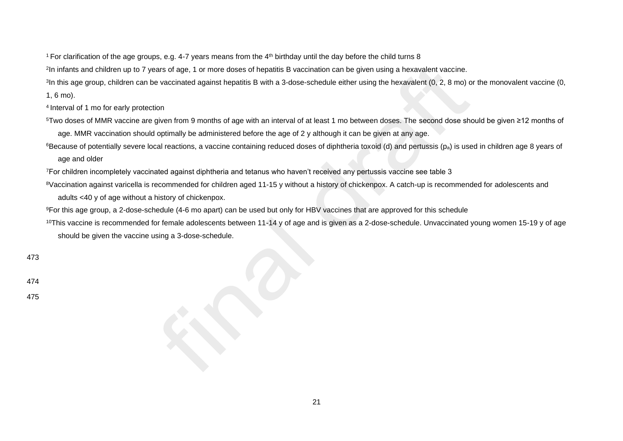<sup>1</sup> For clarification of the age groups, e.g. 4-7 years means from the  $4<sup>th</sup>$  birthday until the day before the child turns 8

2 In infants and children up to 7 years of age, 1 or more doses of hepatitis B vaccination can be given using a hexavalent vaccine.

<sup>3</sup>In this age group, children can be vaccinated against hepatitis B with a 3-dose-schedule either using the hexavalent (0, 2, 8 mo) or the monovalent vaccine (0,

1, 6 mo).

<sup>4</sup>Interval of 1 mo for early protection

- <sup>5</sup>Two doses of MMR vaccine are given from 9 months of age with an interval of at least 1 mo between doses. The second dose should be given ≥12 months of age. MMR vaccination should optimally be administered before the age of 2 y although it can be given at any age.
- <sup>6</sup>Because of potentially severe local reactions, a vaccine containing reduced doses of diphtheria toxoid (d) and pertussis (p<sub>a</sub>) is used in children age 8 years of age and older

<sup>7</sup>For children incompletely vaccinated against diphtheria and tetanus who haven't received any pertussis vaccine see table 3

- <sup>8</sup>Vaccination against varicella is recommended for children aged 11-15 y without a history of chickenpox. A catch-up is recommended for adolescents and adults <40 y of age without a history of chickenpox.
- <sup>9</sup>For this age group, a 2-dose-schedule (4-6 mo apart) can be used but only for HBV vaccines that are approved for this schedule
- <sup>10</sup>This vaccine is recommended for female adolescents between 11-14 y of age and is given as a 2-dose-schedule. Unvaccinated young women 15-19 y of age should be given the vaccine using a 3-dose-schedule.

473

474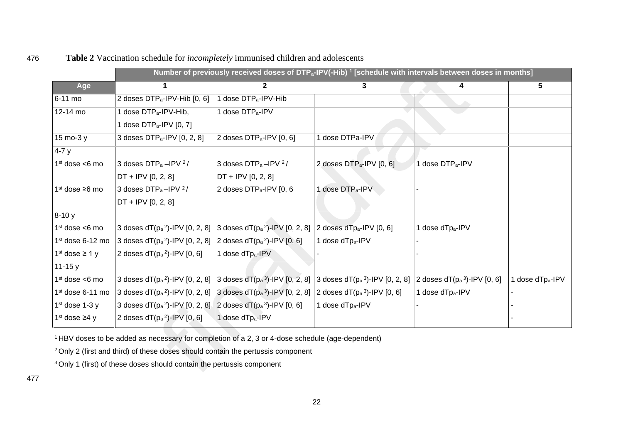|                        |                                                                    |                                                                       | Number of previously received doses of DTP <sub>a</sub> -IPV(-Hib) <sup>1</sup> [schedule with intervals between doses in months] |                                 |                 |
|------------------------|--------------------------------------------------------------------|-----------------------------------------------------------------------|-----------------------------------------------------------------------------------------------------------------------------------|---------------------------------|-----------------|
| Age                    |                                                                    | $\mathbf{2}$                                                          | 3.                                                                                                                                | 4                               | 5               |
| 6-11 mo                | 2 doses DTP <sub>a</sub> -IPV-Hib [0, 6]                           | 1 dose DTP <sub>a</sub> -IPV-Hib                                      |                                                                                                                                   |                                 |                 |
| 12-14 mo               | 1 dose DTP <sub>a</sub> -IPV-Hib,                                  | 1 dose DTP <sub>a</sub> -IPV                                          |                                                                                                                                   |                                 |                 |
|                        | 1 dose DTP <sub>a</sub> -IPV [0, 7]                                |                                                                       |                                                                                                                                   |                                 |                 |
| 15 mo-3 y              | 3 doses DTP <sub>a</sub> -IPV [0, 2, 8]                            | 2 doses DTP <sub>a</sub> -IPV [0, 6]                                  | 1 dose DTPa-IPV                                                                                                                   |                                 |                 |
| $4 - 7y$               |                                                                    |                                                                       |                                                                                                                                   |                                 |                 |
| $1st$ dose <6 mo       | 3 doses $DTP_a - IPV^2/$                                           | 3 doses DTP <sub>a</sub> -IPV <sup>2</sup> /                          | 2 doses DTP <sub>a</sub> -IPV [0, 6]                                                                                              | 1 dose DTP <sub>a</sub> -IPV    |                 |
|                        | $DT + IPv$ [0, 2, 8]                                               | $DT + IPv [0, 2, 8]$                                                  |                                                                                                                                   |                                 |                 |
| $1st$ dose $\geq 6$ mo | 3 doses DTP <sub>a</sub> -IPV <sup>2</sup> /                       | 2 doses DTP <sub>a</sub> -IPV [0, 6                                   | 1 dose DTP <sub>a</sub> -IPV                                                                                                      |                                 |                 |
|                        | $DT + IPv$ [0, 2, 8]                                               |                                                                       |                                                                                                                                   |                                 |                 |
| $8-10y$                |                                                                    |                                                                       |                                                                                                                                   |                                 |                 |
| $1st$ dose <6 mo       | 3 doses $dT(p_a^2)$ -IPV [0, 2, 8]                                 | 3 doses $dT(p_a^2)$ -IPV [0, 2, 8]                                    | 2 doses dTpa-IPV $[0, 6]$                                                                                                         | 1 dose dTpa-IPV                 |                 |
| $1st$ dose 6-12 mo     | 3 doses $dT(p_a^2)$ -IPV [0, 2, 8]                                 | 2 doses $dT(p_a^2)$ -IPV [0, 6]                                       | 1 dose dTp <sub>a</sub> -IPV                                                                                                      |                                 |                 |
| $1st$ dose $\geq 1$ y  | 2 doses $dT(p_a^2)$ -IPV $[0, 6]$                                  | 1 dose dTpa-IPV                                                       |                                                                                                                                   |                                 |                 |
| 11-15 $y$              |                                                                    |                                                                       |                                                                                                                                   |                                 |                 |
| $1st$ dose <6 mo       |                                                                    | 3 doses $dT(p_a^2)$ -IPV [0, 2, 8] 3 doses $dT(p_a^3)$ -IPV [0, 2, 8] | 3 doses $dT(p_a^3)$ -IPV [0, 2, 8]                                                                                                | 2 doses $dT(p_a^3)$ -IPV [0, 6] | 1 dose dTpa-IPV |
| $1st$ dose 6-11 mo     |                                                                    | 3 doses $dT(p_a^2)$ -IPV [0, 2, 8] 3 doses $dT(p_a^3)$ -IPV [0, 2, 8] | 2 doses $dT(p_a^3)$ -IPV [0, 6]                                                                                                   | 1 dose dTp <sub>a</sub> -IPV    |                 |
| $1st$ dose 1-3 y       | 3 doses $dT(p_a^2)$ -IPV [0, 2, 8] 2 doses $dT(p_a^3)$ -IPV [0, 6] |                                                                       | 1 dose dTp <sub>a</sub> -IPV                                                                                                      |                                 |                 |
| $1st$ dose $\geq 4$ y  | 2 doses $dT(p_a^2) - IPV[0, 6]$                                    | 1 dose dTpa-IPV                                                       |                                                                                                                                   |                                 |                 |

<sup>1</sup>HBV doses to be added as necessary for completion of a 2, 3 or 4-dose schedule (age-dependent)

<sup>2</sup> Only 2 (first and third) of these doses should contain the pertussis component

<sup>3</sup> Only 1 (first) of these doses should contain the pertussis component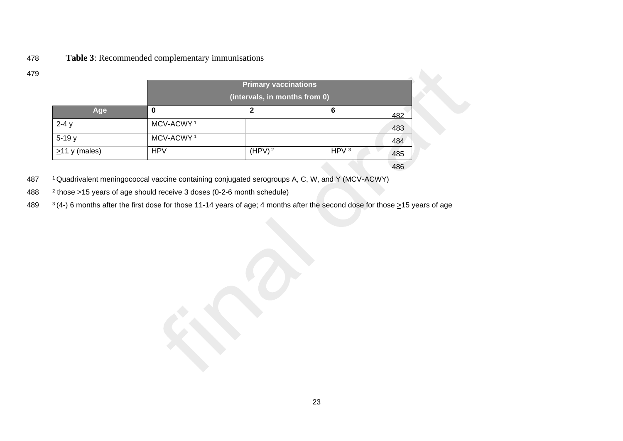## 478 **Table 3**: Recommended complementary immunisations

|                     | <b>Primary vaccinations</b> |                               |                  |     |
|---------------------|-----------------------------|-------------------------------|------------------|-----|
|                     |                             | (intervals, in months from 0) |                  |     |
| Age                 | 0                           | າ                             | 6                | 482 |
| $2-4y$              | MCV-ACWY <sup>1</sup>       |                               |                  | 483 |
| $5-19y$             | MCV-ACWY <sup>1</sup>       |                               |                  | 484 |
| $\geq$ 11 y (males) | <b>HPV</b>                  | (HPV) <sup>2</sup>            | HPV <sup>3</sup> | 485 |
|                     |                             |                               |                  | 486 |

487 <sup>1</sup>Quadrivalent meningococcal vaccine containing conjugated serogroups A, C, W, and Y (MCV-ACWY)

488  $\frac{2 \text{ those } 215 \text{ years of age should receive 3 doses (0-2-6 month schedule)}$ 

489  $3(4)$  6 months after the first dose for those 11-14 years of age; 4 months after the second dose for those  $\geq$ 15 years of age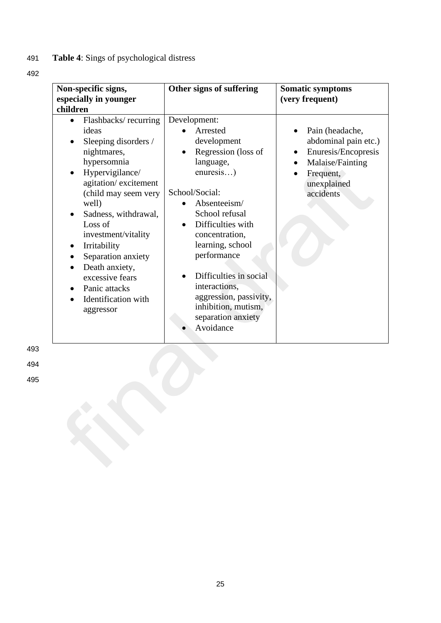# 491 **Table 4**: Sings of psychological distress

492

| Non-specific signs,<br>especially in younger<br>children                                                                                                                                                                                                                                                                                                  | Other signs of suffering                                                                                                                                                                                                                                                                                                                              | <b>Somatic symptoms</b><br>(very frequent)                                                                                  |
|-----------------------------------------------------------------------------------------------------------------------------------------------------------------------------------------------------------------------------------------------------------------------------------------------------------------------------------------------------------|-------------------------------------------------------------------------------------------------------------------------------------------------------------------------------------------------------------------------------------------------------------------------------------------------------------------------------------------------------|-----------------------------------------------------------------------------------------------------------------------------|
| Flashbacks/recurring<br>ideas<br>Sleeping disorders /<br>nightmares,<br>hypersomnia<br>Hypervigilance/<br>agitation/excitement<br>(child may seem very<br>well)<br>Sadness, withdrawal,<br>Loss of<br>investment/vitality<br>Irritability<br>Separation anxiety<br>Death anxiety,<br>excessive fears<br>Panic attacks<br>Identification with<br>aggressor | Development:<br>Arrested<br>development<br>Regression (loss of<br>language,<br>enuresis)<br>School/Social:<br>Absenteeism/<br>School refusal<br>Difficulties with<br>concentration,<br>learning, school<br>performance<br>Difficulties in social<br>interactions,<br>aggression, passivity,<br>inhibition, mutism,<br>separation anxiety<br>Avoidance | Pain (headache,<br>abdominal pain etc.)<br>Enuresis/Encopresis<br>Malaise/Fainting<br>Frequent,<br>unexplained<br>accidents |

493

494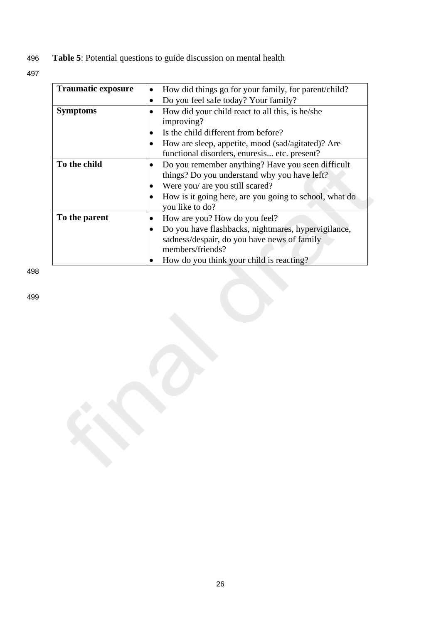496 **Table 5**: Potential questions to guide discussion on mental health

497

| <b>Traumatic exposure</b> |           | How did things go for your family, for parent/child?   |
|---------------------------|-----------|--------------------------------------------------------|
|                           | $\bullet$ | Do you feel safe today? Your family?                   |
| <b>Symptoms</b>           |           | How did your child react to all this, is he/she        |
|                           |           | improving?                                             |
|                           |           | Is the child different from before?                    |
|                           |           | How are sleep, appetite, mood (sad/agitated)? Are      |
|                           |           | functional disorders, enuresis etc. present?           |
| To the child              |           | Do you remember anything? Have you seen difficult      |
|                           |           | things? Do you understand why you have left?           |
|                           |           | Were you/ are you still scared?                        |
|                           |           | How is it going here, are you going to school, what do |
|                           |           | you like to do?                                        |
| To the parent             |           | How are you? How do you feel?                          |
|                           |           | Do you have flashbacks, nightmares, hypervigilance,    |
|                           |           | sadness/despair, do you have news of family            |
|                           |           | members/friends?                                       |
|                           |           | How do you think your child is reacting?               |

498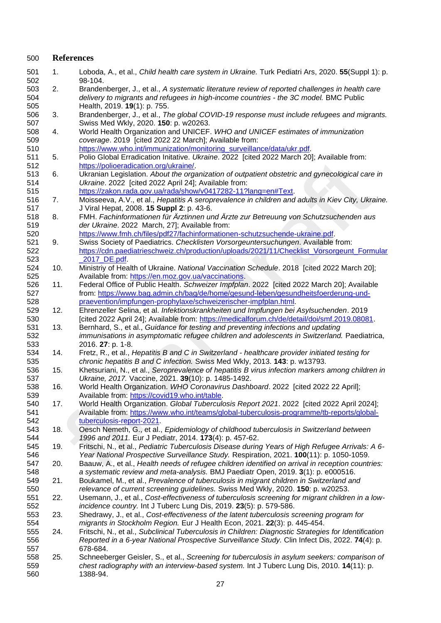| 500               | <b>References</b> |                                                                                                                                                                                                                                                                                |  |  |  |
|-------------------|-------------------|--------------------------------------------------------------------------------------------------------------------------------------------------------------------------------------------------------------------------------------------------------------------------------|--|--|--|
| 501<br>502        | 1.                | Loboda, A., et al., Child health care system in Ukraine. Turk Pediatri Ars, 2020. 55(Suppl 1): p.<br>98-104.                                                                                                                                                                   |  |  |  |
| 503<br>504<br>505 | 2.                | Brandenberger, J., et al., A systematic literature review of reported challenges in health care<br>delivery to migrants and refugees in high-income countries - the 3C model. BMC Public<br>Health, 2019. 19(1): p. 755.                                                       |  |  |  |
| 506<br>507        | 3.                | Brandenberger, J., et al., The global COVID-19 response must include refugees and migrants.<br>Swiss Med Wkly, 2020. 150: p. w20263.                                                                                                                                           |  |  |  |
| 508<br>509        | 4.                | World Health Organization and UNICEF. WHO and UNICEF estimates of immunization<br>coverage. 2019 [cited 2022 22 March]; Available from:                                                                                                                                        |  |  |  |
| 510<br>511        | 5.                | https://www.who.int/immunization/monitoring_surveillance/data/ukr.pdf.<br>Polio Global Erradication Initative. Ukraine. 2022 [cited 2022 March 20]; Available from:                                                                                                            |  |  |  |
| 512<br>513<br>514 | 6.                | https://polioeradication.org/ukraine/.<br>Ukranian Legislation. About the organization of outpatient obstetric and gynecological care in<br>Ukraine. 2022 [cited 2022 April 24]; Available from:                                                                               |  |  |  |
| 515<br>516        | 7.                | https://zakon.rada.gov.ua/rada/show/v0417282-11?lang=en#Text.<br>Moisseeva, A.V., et al., Hepatitis A seroprevalence in children and adults in Kiev City, Ukraine.                                                                                                             |  |  |  |
| 517<br>518        | 8.                | J Viral Hepat, 2008. 15 Suppl 2: p. 43-6.<br>FMH. Fachinformationen für Ärztinnen und Ärzte zur Betreuung von Schutzsuchenden aus                                                                                                                                              |  |  |  |
| 519<br>520        |                   | der Ukraine. 2022 March, 27]; Available from:<br>https://www.fmh.ch/files/pdf27/fachinformationen-schutzsuchende-ukraine.pdf.                                                                                                                                                  |  |  |  |
| 521<br>522<br>523 | 9.                | Swiss Society of Paediatrics. Checklisten Vorsorgeuntersuchungen. Available from:<br>https://cdn.paediatrieschweiz.ch/production/uploads/2021/11/Checklist_Vorsorgeunt_Formular<br>2017_DE.pdf.                                                                                |  |  |  |
| 524<br>525        | 10.               | Ministriy of Health of Ukraine. National Vaccination Schedule. 2018 [cited 2022 March 20];<br>Available from: https://en.moz.gov.ua/vaccinations.                                                                                                                              |  |  |  |
| 526<br>527<br>528 | 11.               | Federal Office of Public Health. Schweizer Impfplan. 2022 [cited 2022 March 20]; Available<br>from: https://www.bag.admin.ch/bag/de/home/gesund-leben/gesundheitsfoerderung-und-<br>praevention/impfungen-prophylaxe/schweizerischer-impfplan.html.                            |  |  |  |
| 529<br>530        | 12.               | Ehrenzeller Selina, et al. Infektionskrankheiten und Impfungen bei Asylsuchenden. 2019<br>[cited 2022 April 24]; Available from: https://medicalforum.ch/de/detail/doi/smf.2019.08081.                                                                                         |  |  |  |
| 531<br>532<br>533 | 13.               | Bernhard, S., et al., Guidance for testing and preventing infections and updating<br>immunisations in asymptomatic refugee children and adolescents in Switzerland. Paediatrica,<br>2016. 27: p. 1-8.                                                                          |  |  |  |
| 534<br>535        | 14.               | Fretz, R., et al., Hepatitis B and C in Switzerland - healthcare provider initiated testing for<br>chronic hepatitis B and C infection. Swiss Med Wkly, 2013. 143: p. w13793.                                                                                                  |  |  |  |
| 536<br>537        | 15.               | Khetsuriani, N., et al., Seroprevalence of hepatitis B virus infection markers among children in<br>Ukraine, 2017. Vaccine, 2021. 39(10): p. 1485-1492.                                                                                                                        |  |  |  |
| 538<br>539        | 16.               | World Health Organization. WHO Coronavirus Dashboard. 2022 [cited 2022 22 April];<br>Available from: https://covid19.who.int/table.                                                                                                                                            |  |  |  |
| 540<br>541<br>542 | 17.               | World Health Organization. Global Tuberculosis Report 2021. 2022 [cited 2022 April 2024];<br>Available from: https://www.who.int/teams/global-tuberculosis-programme/tb-reports/global-<br>tuberculosis-report-2021.                                                           |  |  |  |
| 543<br>544        | 18.               | Oesch Nemeth, G., et al., Epidemiology of childhood tuberculosis in Switzerland between<br>1996 and 2011. Eur J Pediatr, 2014. 173(4): p. 457-62.                                                                                                                              |  |  |  |
| 545<br>546        | 19.               | Fritschi, N., et al., Pediatric Tuberculosis Disease during Years of High Refugee Arrivals: A 6-<br>Year National Prospective Surveillance Study. Respiration, 2021. 100(11): p. 1050-1059.                                                                                    |  |  |  |
| 547<br>548        | 20.               | Baauw, A., et al., Health needs of refugee children identified on arrival in reception countries:<br>a systematic review and meta-analysis. BMJ Paediatr Open, 2019. 3(1): p. e000516.                                                                                         |  |  |  |
| 549<br>550        | 21.               | Boukamel, M., et al., Prevalence of tuberculosis in migrant children in Switzerland and<br>relevance of current screening guidelines. Swiss Med Wkly, 2020. 150: p. w20253.                                                                                                    |  |  |  |
| 551<br>552        | 22.               | Usemann, J., et al., Cost-effectiveness of tuberculosis screening for migrant children in a low-<br>incidence country. Int J Tuberc Lung Dis, 2019. 23(5): p. 579-586.                                                                                                         |  |  |  |
| 553<br>554<br>555 | 23.<br>24.        | Shedrawy, J., et al., Cost-effectiveness of the latent tuberculosis screening program for<br>migrants in Stockholm Region. Eur J Health Econ, 2021. 22(3): p. 445-454.<br>Fritschi, N., et al., Subclinical Tuberculosis in Children: Diagnostic Strategies for Identification |  |  |  |
| 556<br>557        |                   | Reported in a 6-year National Prospective Surveillance Study. Clin Infect Dis, 2022. 74(4): p.<br>678-684.                                                                                                                                                                     |  |  |  |
| 558<br>559<br>560 | 25.               | Schneeberger Geisler, S., et al., Screening for tuberculosis in asylum seekers: comparison of<br>chest radiography with an interview-based system. Int J Tuberc Lung Dis, 2010. 14(11): p.<br>1388-94.                                                                         |  |  |  |